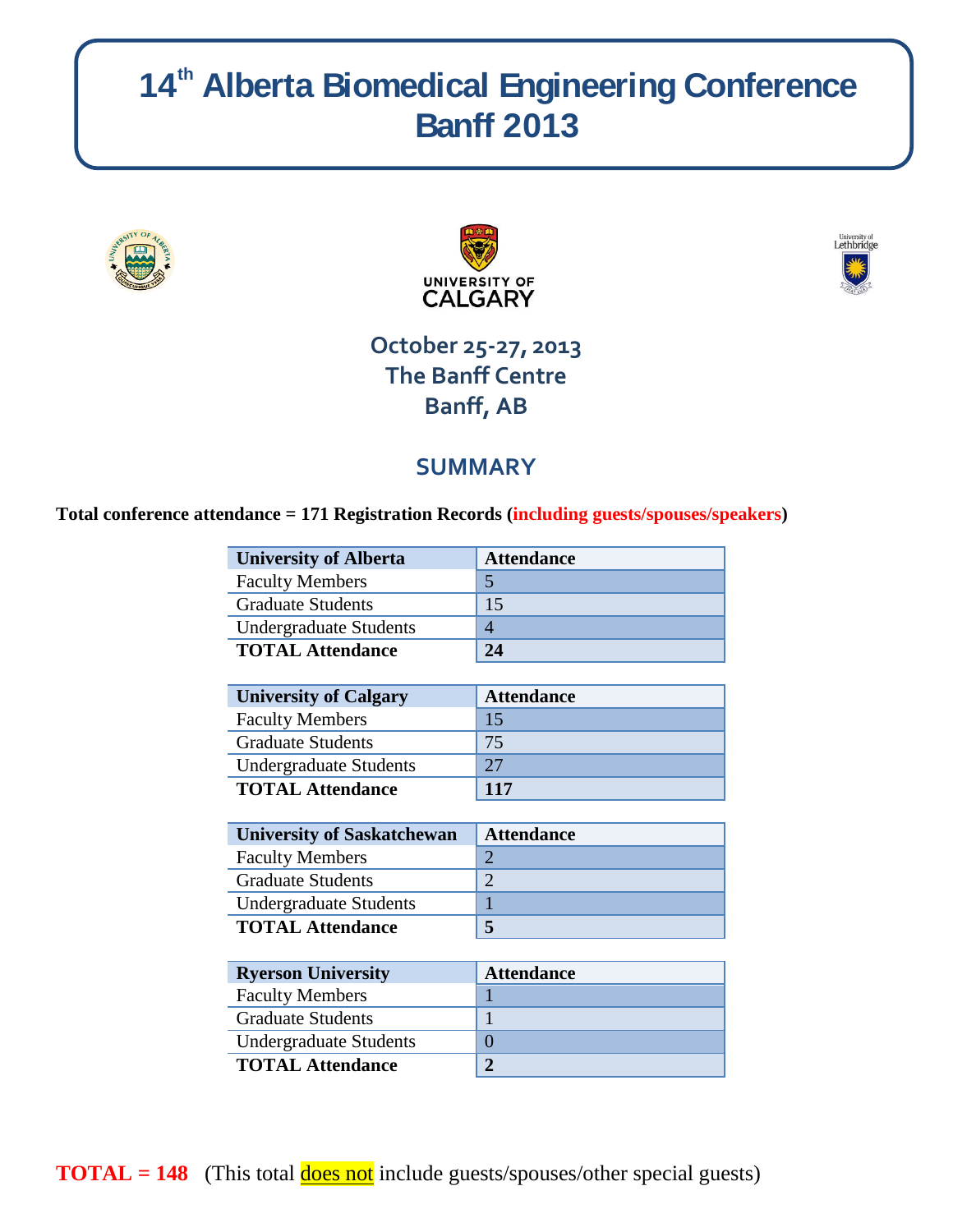# **14 th Alberta Biomedical Engineering Conference Banff 2013**







## **October 25-27, 2013 The Banff Centre Banff, AB**

### **SUMMARY**

### **Total conference attendance = 171 Registration Records (including guests/spouses/speakers)**

| <b>University of Alberta</b>  | <b>Attendance</b> |
|-------------------------------|-------------------|
| <b>Faculty Members</b>        |                   |
| <b>Graduate Students</b>      | 15                |
| <b>Undergraduate Students</b> |                   |
| <b>TOTAL Attendance</b>       | 24                |

| <b>University of Calgary</b>  | <b>Attendance</b> |
|-------------------------------|-------------------|
| <b>Faculty Members</b>        | 15                |
| <b>Graduate Students</b>      | 75                |
| <b>Undergraduate Students</b> | 27                |
| <b>TOTAL Attendance</b>       | <b>117</b>        |

| <b>University of Saskatchewan</b> | <b>Attendance</b> |
|-----------------------------------|-------------------|
| <b>Faculty Members</b>            |                   |
| <b>Graduate Students</b>          |                   |
| <b>Undergraduate Students</b>     |                   |
| <b>TOTAL Attendance</b>           |                   |

| <b>Ryerson University</b>     | <b>Attendance</b> |
|-------------------------------|-------------------|
| <b>Faculty Members</b>        |                   |
| <b>Graduate Students</b>      |                   |
| <b>Undergraduate Students</b> |                   |
| <b>TOTAL Attendance</b>       |                   |